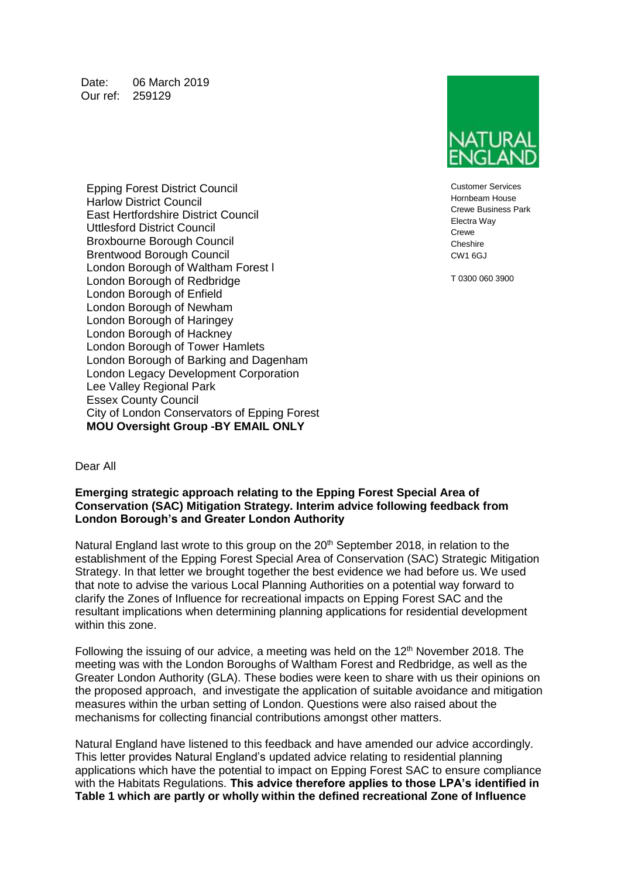Date: 06 March 2019 Our ref: 259129

Customer Services Hornbeam House Crewe Business Park Electra Way **Crewe Cheshire**  $CM1$  6GJ

T 0300 060 3900

Epping Forest District Council Harlow District Council East Hertfordshire District Council Uttlesford District Council Broxbourne Borough Council Brentwood Borough Council London Borough of Waltham Forest l London Borough of Redbridge London Borough of Enfield London Borough of Newham London Borough of Haringey London Borough of Hackney London Borough of Tower Hamlets London Borough of Barking and Dagenham London Legacy Development Corporation Lee Valley Regional Park Essex County Council City of London Conservators of Epping Forest **MOU Oversight Group -BY EMAIL ONLY**

#### Dear All

### **Emerging strategic approach relating to the Epping Forest Special Area of Conservation (SAC) Mitigation Strategy. Interim advice following feedback from London Borough's and Greater London Authority**

Natural England last wrote to this group on the 20<sup>th</sup> September 2018, in relation to the establishment of the Epping Forest Special Area of Conservation (SAC) Strategic Mitigation Strategy. In that letter we brought together the best evidence we had before us. We used that note to advise the various Local Planning Authorities on a potential way forward to clarify the Zones of Influence for recreational impacts on Epping Forest SAC and the resultant implications when determining planning applications for residential development within this zone.

Following the issuing of our advice, a meeting was held on the  $12<sup>th</sup>$  November 2018. The meeting was with the London Boroughs of Waltham Forest and Redbridge, as well as the Greater London Authority (GLA). These bodies were keen to share with us their opinions on the proposed approach, and investigate the application of suitable avoidance and mitigation measures within the urban setting of London. Questions were also raised about the mechanisms for collecting financial contributions amongst other matters.

Natural England have listened to this feedback and have amended our advice accordingly. This letter provides Natural England's updated advice relating to residential planning applications which have the potential to impact on Epping Forest SAC to ensure compliance with the Habitats Regulations. **This advice therefore applies to those LPA's identified in Table 1 which are partly or wholly within the defined recreational Zone of Influence**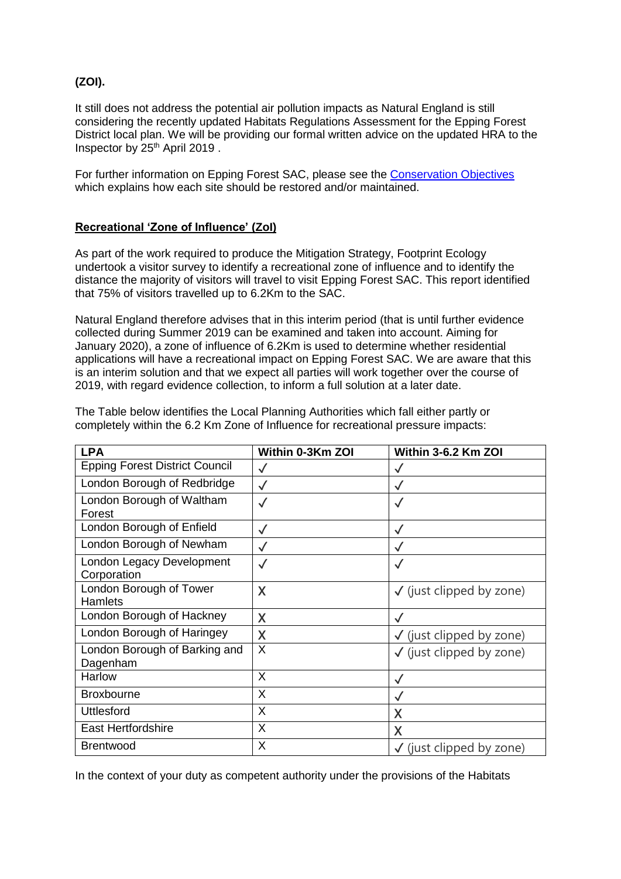# **(ZOI).**

It still does not address the potential air pollution impacts as Natural England is still considering the recently updated Habitats Regulations Assessment for the Epping Forest District local plan. We will be providing our formal written advice on the updated HRA to the Inspector by 25<sup>th</sup> April 2019.

For further information on Epping Forest SAC, please see the [Conservation Objectives](http://publications.naturalengland.org.uk/category/6581547796791296) which explains how each site should be restored and/or maintained.

## **Recreational 'Zone of Influence' (ZoI)**

As part of the work required to produce the Mitigation Strategy, Footprint Ecology undertook a visitor survey to identify a recreational zone of influence and to identify the distance the majority of visitors will travel to visit Epping Forest SAC. This report identified that 75% of visitors travelled up to 6.2Km to the SAC.

Natural England therefore advises that in this interim period (that is until further evidence collected during Summer 2019 can be examined and taken into account. Aiming for January 2020), a zone of influence of 6.2Km is used to determine whether residential applications will have a recreational impact on Epping Forest SAC. We are aware that this is an interim solution and that we expect all parties will work together over the course of 2019, with regard evidence collection, to inform a full solution at a later date.

| <b>LPA</b>                                | Within 0-3Km ZOI | Within 3-6.2 Km ZOI                 |
|-------------------------------------------|------------------|-------------------------------------|
| <b>Epping Forest District Council</b>     | $\checkmark$     |                                     |
| London Borough of Redbridge               | $\checkmark$     | $\checkmark$                        |
| London Borough of Waltham<br>Forest       | $\checkmark$     | $\checkmark$                        |
| London Borough of Enfield                 | $\checkmark$     | $\checkmark$                        |
| London Borough of Newham                  | $\checkmark$     | $\checkmark$                        |
| London Legacy Development<br>Corporation  | $\checkmark$     |                                     |
| London Borough of Tower<br><b>Hamlets</b> | X                | $\checkmark$ (just clipped by zone) |
| London Borough of Hackney                 | X                |                                     |
| London Borough of Haringey                | X                | $\checkmark$ (just clipped by zone) |
| London Borough of Barking and<br>Dagenham | X                | $\checkmark$ (just clipped by zone) |
| Harlow                                    | X                | √                                   |
| <b>Broxbourne</b>                         | X                |                                     |
| <b>Uttlesford</b>                         | X                | X                                   |
| <b>East Hertfordshire</b>                 | X                | X                                   |
| <b>Brentwood</b>                          | X                | $\checkmark$ (just clipped by zone) |

The Table below identifies the Local Planning Authorities which fall either partly or completely within the 6.2 Km Zone of Influence for recreational pressure impacts:

In the context of your duty as competent authority under the provisions of the Habitats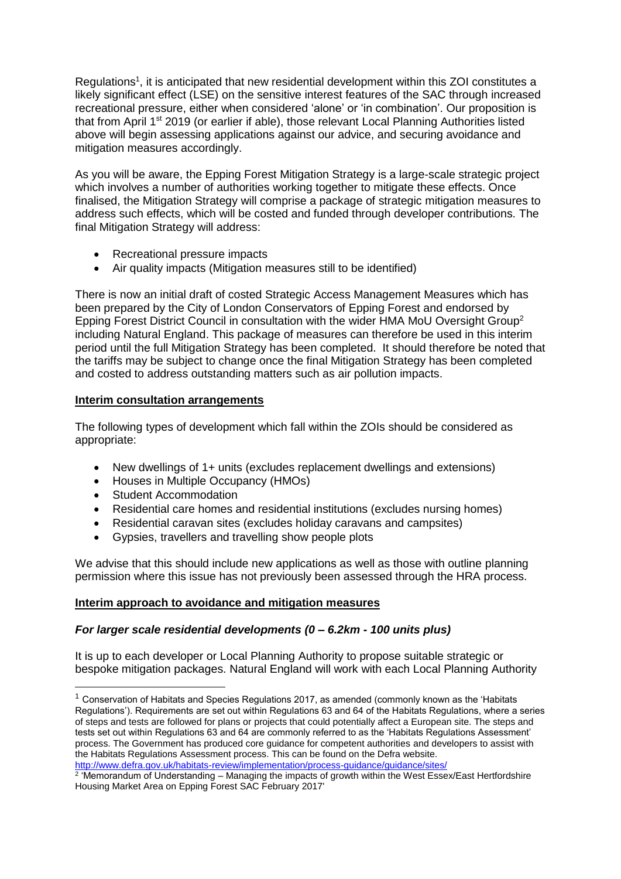Regulations<sup>1</sup>, it is anticipated that new residential development within this ZOI constitutes a likely significant effect (LSE) on the sensitive interest features of the SAC through increased recreational pressure, either when considered 'alone' or 'in combination'. Our proposition is that from April 1<sup>st</sup> 2019 (or earlier if able), those relevant Local Planning Authorities listed above will begin assessing applications against our advice, and securing avoidance and mitigation measures accordingly.

As you will be aware, the Epping Forest Mitigation Strategy is a large-scale strategic project which involves a number of authorities working together to mitigate these effects. Once finalised, the Mitigation Strategy will comprise a package of strategic mitigation measures to address such effects, which will be costed and funded through developer contributions. The final Mitigation Strategy will address:

- Recreational pressure impacts
- Air quality impacts (Mitigation measures still to be identified)

There is now an initial draft of costed Strategic Access Management Measures which has been prepared by the City of London Conservators of Epping Forest and endorsed by Epping Forest District Council in consultation with the wider HMA MoU Oversight Group<sup>2</sup> including Natural England. This package of measures can therefore be used in this interim period until the full Mitigation Strategy has been completed. It should therefore be noted that the tariffs may be subject to change once the final Mitigation Strategy has been completed and costed to address outstanding matters such as air pollution impacts.

# **Interim consultation arrangements**

The following types of development which fall within the ZOIs should be considered as appropriate:

- New dwellings of 1+ units (excludes replacement dwellings and extensions)
- Houses in Multiple Occupancy (HMOs)
- Student Accommodation

-

- Residential care homes and residential institutions (excludes nursing homes)
- Residential caravan sites (excludes holiday caravans and campsites)
- Gypsies, travellers and travelling show people plots

We advise that this should include new applications as well as those with outline planning permission where this issue has not previously been assessed through the HRA process.

## **Interim approach to avoidance and mitigation measures**

## *For larger scale residential developments (0 – 6.2km - 100 units plus)*

It is up to each developer or Local Planning Authority to propose suitable strategic or bespoke mitigation packages. Natural England will work with each Local Planning Authority

 $<sup>1</sup>$  Conservation of Habitats and Species Regulations 2017, as amended (commonly known as the 'Habitats</sup> Regulations'). Requirements are set out within Regulations 63 and 64 of the Habitats Regulations, where a series of steps and tests are followed for plans or projects that could potentially affect a European site. The steps and tests set out within Regulations 63 and 64 are commonly referred to as the 'Habitats Regulations Assessment' process. The Government has produced core guidance for competent authorities and developers to assist with the Habitats Regulations Assessment process. This can be found on the Defra website.

<sup>&</sup>lt;u><http://www.defra.gov.uk/habitats-review/implementation/process-guidance/guidance/sites/></u><br><sup>2</sup> 'Memorandum of Understanding – Managing the impacts of growth within the West Essex/East Hertfordshire Housing Market Area on Epping Forest SAC February 2017'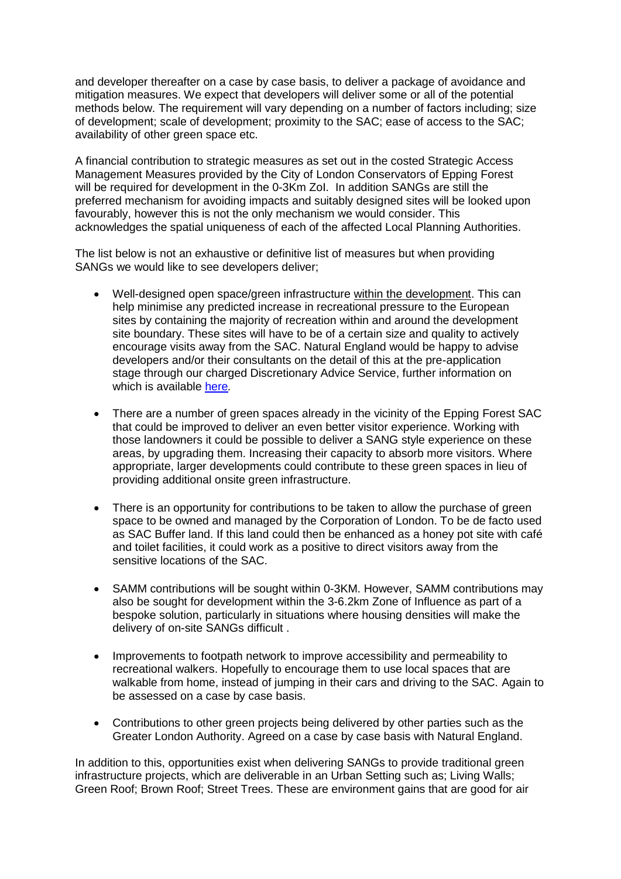and developer thereafter on a case by case basis, to deliver a package of avoidance and mitigation measures. We expect that developers will deliver some or all of the potential methods below. The requirement will vary depending on a number of factors including; size of development; scale of development; proximity to the SAC; ease of access to the SAC; availability of other green space etc.

A financial contribution to strategic measures as set out in the costed Strategic Access Management Measures provided by the City of London Conservators of Epping Forest will be required for development in the 0-3Km ZoI. In addition SANGs are still the preferred mechanism for avoiding impacts and suitably designed sites will be looked upon favourably, however this is not the only mechanism we would consider. This acknowledges the spatial uniqueness of each of the affected Local Planning Authorities.

The list below is not an exhaustive or definitive list of measures but when providing SANGs we would like to see developers deliver;

- Well-designed open space/green infrastructure within the development. This can help minimise any predicted increase in recreational pressure to the European sites by containing the majority of recreation within and around the development site boundary. These sites will have to be of a certain size and quality to actively encourage visits away from the SAC. Natural England would be happy to advise developers and/or their consultants on the detail of this at the pre-application stage through our charged Discretionary Advice Service, further information on which is available [here](https://www.gov.uk/guidance/developers-get-environmental-advice-on-your-planning-proposals)*.*
- There are a number of green spaces already in the vicinity of the Epping Forest SAC that could be improved to deliver an even better visitor experience. Working with those landowners it could be possible to deliver a SANG style experience on these areas, by upgrading them. Increasing their capacity to absorb more visitors. Where appropriate, larger developments could contribute to these green spaces in lieu of providing additional onsite green infrastructure.
- There is an opportunity for contributions to be taken to allow the purchase of green space to be owned and managed by the Corporation of London. To be de facto used as SAC Buffer land. If this land could then be enhanced as a honey pot site with café and toilet facilities, it could work as a positive to direct visitors away from the sensitive locations of the SAC.
- SAMM contributions will be sought within 0-3KM. However, SAMM contributions may also be sought for development within the 3-6.2km Zone of Influence as part of a bespoke solution, particularly in situations where housing densities will make the delivery of on-site SANGs difficult .
- Improvements to footpath network to improve accessibility and permeability to recreational walkers. Hopefully to encourage them to use local spaces that are walkable from home, instead of jumping in their cars and driving to the SAC. Again to be assessed on a case by case basis.
- Contributions to other green projects being delivered by other parties such as the Greater London Authority. Agreed on a case by case basis with Natural England.

In addition to this, opportunities exist when delivering SANGs to provide traditional green infrastructure projects, which are deliverable in an Urban Setting such as; Living Walls; Green Roof; Brown Roof; Street Trees. These are environment gains that are good for air